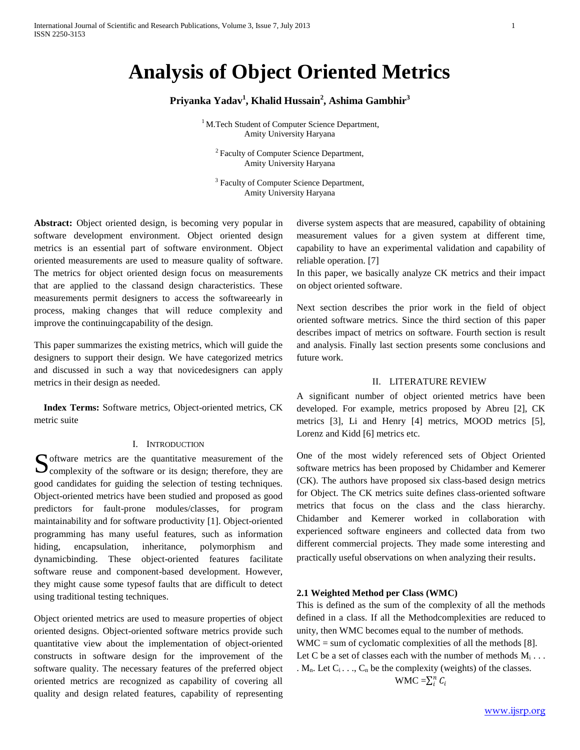# **Analysis of Object Oriented Metrics**

## **Priyanka Yadav<sup>1</sup> , Khalid Hussain<sup>2</sup> , Ashima Gambhir<sup>3</sup>**

<sup>1</sup> M.Tech Student of Computer Science Department, Amity University Haryana

<sup>2</sup> Faculty of Computer Science Department, Amity University Haryana

<sup>3</sup> Faculty of Computer Science Department, Amity University Haryana

**Abstract:** Object oriented design, is becoming very popular in software development environment. Object oriented design metrics is an essential part of software environment. Object oriented measurements are used to measure quality of software. The metrics for object oriented design focus on measurements that are applied to the classand design characteristics. These measurements permit designers to access the softwareearly in process, making changes that will reduce complexity and improve the continuingcapability of the design.

This paper summarizes the existing metrics, which will guide the designers to support their design. We have categorized metrics and discussed in such a way that novicedesigners can apply metrics in their design as needed.

 **Index Terms:** Software metrics, Object-oriented metrics, CK metric suite

#### I. INTRODUCTION

Software metrics are the quantitative measurement of the complexity of the software or its design; therefore, they are  $\bigcup$  complexity of the software or its design; therefore, they are good candidates for guiding the selection of testing techniques. Object-oriented metrics have been studied and proposed as good predictors for fault-prone modules/classes, for program maintainability and for software productivity [1]. Object-oriented programming has many useful features, such as information hiding, encapsulation, inheritance, polymorphism and dynamicbinding. These object-oriented features facilitate software reuse and component-based development. However, they might cause some typesof faults that are difficult to detect using traditional testing techniques.

Object oriented metrics are used to measure properties of object oriented designs. Object-oriented software metrics provide such quantitative view about the implementation of object-oriented constructs in software design for the improvement of the software quality. The necessary features of the preferred object oriented metrics are recognized as capability of covering all quality and design related features, capability of representing diverse system aspects that are measured, capability of obtaining measurement values for a given system at different time, capability to have an experimental validation and capability of reliable operation. [7]

In this paper, we basically analyze CK metrics and their impact on object oriented software.

Next section describes the prior work in the field of object oriented software metrics. Since the third section of this paper describes impact of metrics on software. Fourth section is result and analysis. Finally last section presents some conclusions and future work.

#### II. LITERATURE REVIEW

A significant number of object oriented metrics have been developed. For example, metrics proposed by Abreu [2], CK metrics [3], Li and Henry [4] metrics, MOOD metrics [5], Lorenz and Kidd [6] metrics etc.

One of the most widely referenced sets of Object Oriented software metrics has been proposed by Chidamber and Kemerer (CK). The authors have proposed six class-based design metrics for Object. The CK metrics suite defines class-oriented software metrics that focus on the class and the class hierarchy. Chidamber and Kemerer worked in collaboration with experienced software engineers and collected data from two different commercial projects. They made some interesting and practically useful observations on when analyzing their results.

## **2.1 Weighted Method per Class (WMC)**

This is defined as the sum of the complexity of all the methods defined in a class. If all the Methodcomplexities are reduced to unity, then WMC becomes equal to the number of methods. WMC = sum of cyclomatic complexities of all the methods [8]. Let C be a set of classes each with the number of methods  $M_i \dots$ .  $M_n$ . Let  $C_i$ ...,  $C_n$  be the complexity (weights) of the classes. WMC  $=\sum_i^n C_i$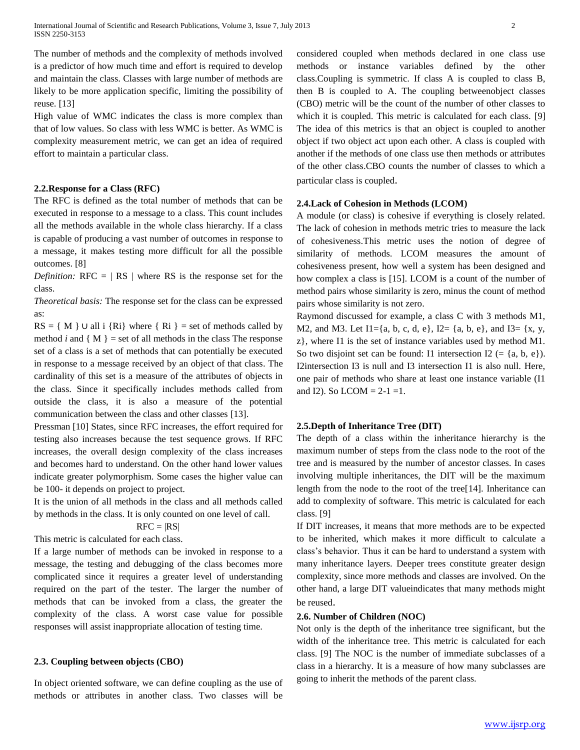International Journal of Scientific and Research Publications, Volume 3, Issue 7, July 2013 2 ISSN 2250-3153

The number of methods and the complexity of methods involved is a predictor of how much time and effort is required to develop and maintain the class. Classes with large number of methods are likely to be more application specific, limiting the possibility of reuse. [13]

High value of WMC indicates the class is more complex than that of low values. So class with less WMC is better. As WMC is complexity measurement metric, we can get an idea of required effort to maintain a particular class.

#### **2.2.Response for a Class (RFC)**

The RFC is defined as the total number of methods that can be executed in response to a message to a class. This count includes all the methods available in the whole class hierarchy. If a class is capable of producing a vast number of outcomes in response to a message, it makes testing more difficult for all the possible outcomes. [8]

*Definition:*  $RFC = | RS |$  where RS is the response set for the class.

*Theoretical basis:* The response set for the class can be expressed as:

 $RS = \{ M \}$  U all i  $\{ Ri \}$  where  $\{ Ri \}$  = set of methods called by method *i* and  $\{M\}$  = set of all methods in the class The response set of a class is a set of methods that can potentially be executed in response to a message received by an object of that class. The cardinality of this set is a measure of the attributes of objects in the class. Since it specifically includes methods called from outside the class, it is also a measure of the potential communication between the class and other classes [13].

Pressman [10] States, since RFC increases, the effort required for testing also increases because the test sequence grows. If RFC increases, the overall design complexity of the class increases and becomes hard to understand. On the other hand lower values indicate greater polymorphism. Some cases the higher value can be 100- it depends on project to project.

It is the union of all methods in the class and all methods called by methods in the class. It is only counted on one level of call.

$$
RFC=|RS|
$$

This metric is calculated for each class.

If a large number of methods can be invoked in response to a message, the testing and debugging of the class becomes more complicated since it requires a greater level of understanding required on the part of the tester. The larger the number of methods that can be invoked from a class, the greater the complexity of the class. A worst case value for possible responses will assist inappropriate allocation of testing time.

#### **2.3. Coupling between objects (CBO)**

In object oriented software, we can define coupling as the use of methods or attributes in another class. Two classes will be

considered coupled when methods declared in one class use methods or instance variables defined by the other class.Coupling is symmetric. If class A is coupled to class B, then B is coupled to A. The coupling betweenobject classes (CBO) metric will be the count of the number of other classes to which it is coupled. This metric is calculated for each class. [9] The idea of this metrics is that an object is coupled to another object if two object act upon each other. A class is coupled with another if the methods of one class use then methods or attributes of the other class.CBO counts the number of classes to which a particular class is coupled.

#### **2.4.Lack of Cohesion in Methods (LCOM)**

A module (or class) is cohesive if everything is closely related. The lack of cohesion in methods metric tries to measure the lack of cohesiveness.This metric uses the notion of degree of similarity of methods. LCOM measures the amount of cohesiveness present, how well a system has been designed and how complex a class is [15]. LCOM is a count of the number of method pairs whose similarity is zero, minus the count of method pairs whose similarity is not zero.

Raymond discussed for example, a class C with 3 methods M1, M2, and M3. Let  $I1 = \{a, b, c, d, e\}$ ,  $I2 = \{a, b, e\}$ , and  $I3 = \{x, y, z\}$ z}, where I1 is the set of instance variables used by method M1. So two disjoint set can be found: I1 intersection I2 (= {a, b, e}). I2intersection I3 is null and I3 intersection I1 is also null. Here, one pair of methods who share at least one instance variable (I1 and I2). So LCOM =  $2-1 = 1$ .

#### **2.5.Depth of Inheritance Tree (DIT)**

The depth of a class within the inheritance hierarchy is the maximum number of steps from the class node to the root of the tree and is measured by the number of ancestor classes. In cases involving multiple inheritances, the DIT will be the maximum length from the node to the root of the tree[14]. Inheritance can add to complexity of software. This metric is calculated for each class. [9]

If DIT increases, it means that more methods are to be expected to be inherited, which makes it more difficult to calculate a class's behavior. Thus it can be hard to understand a system with many inheritance layers. Deeper trees constitute greater design complexity, since more methods and classes are involved. On the other hand, a large DIT valueindicates that many methods might be reused.

#### **2.6. Number of Children (NOC)**

Not only is the depth of the inheritance tree significant, but the width of the inheritance tree. This metric is calculated for each class. [9] The NOC is the number of immediate subclasses of a class in a hierarchy. It is a measure of how many subclasses are going to inherit the methods of the parent class.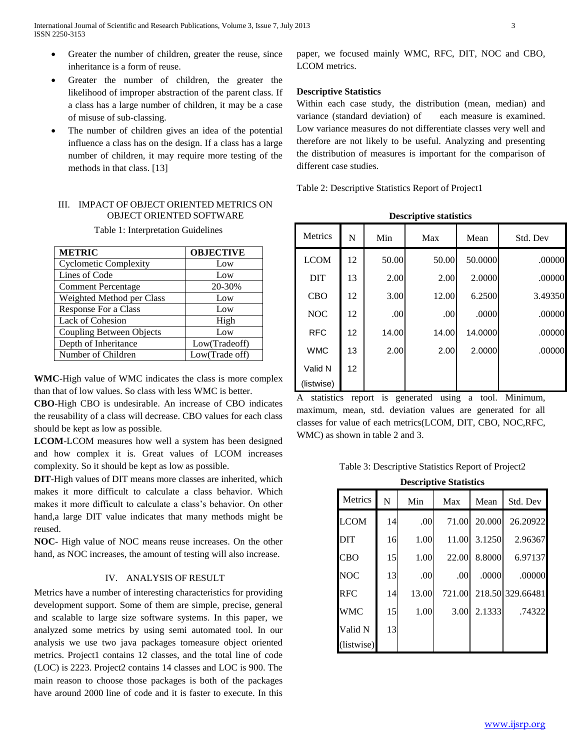- Greater the number of children, greater the reuse, since inheritance is a form of reuse.
- Greater the number of children, the greater the likelihood of improper abstraction of the parent class. If a class has a large number of children, it may be a case of misuse of sub-classing.
- The number of children gives an idea of the potential influence a class has on the design. If a class has a large number of children, it may require more testing of the methods in that class. [13]

## III. IMPACT OF OBJECT ORIENTED METRICS ON OBJECT ORIENTED SOFTWARE

Table 1: Interpretation Guidelines

| <b>METRIC</b>                   | <b>OBJECTIVE</b> |
|---------------------------------|------------------|
| <b>Cyclometic Complexity</b>    | Low              |
| Lines of Code                   | Low              |
| <b>Comment Percentage</b>       | 20-30%           |
| Weighted Method per Class       | Low              |
| <b>Response For a Class</b>     | Low              |
| <b>Lack of Cohesion</b>         | High             |
| <b>Coupling Between Objects</b> | Low              |
| Depth of Inheritance            | Low(Tradeoff)    |
| Number of Children              | Low(Trade off)   |

**WMC**-High value of WMC indicates the class is more complex than that of low values. So class with less WMC is better.

**CBO**-High CBO is undesirable. An increase of CBO indicates the reusability of a class will decrease. CBO values for each class should be kept as low as possible.

**LCOM**-LCOM measures how well a system has been designed and how complex it is. Great values of LCOM increases complexity. So it should be kept as low as possible.

**DIT**-High values of DIT means more classes are inherited, which makes it more difficult to calculate a class behavior. Which makes it more difficult to calculate a class's behavior. On other hand,a large DIT value indicates that many methods might be reused.

**NOC**- High value of NOC means reuse increases. On the other hand, as NOC increases, the amount of testing will also increase.

## IV. ANALYSIS OF RESULT

Metrics have a number of interesting characteristics for providing development support. Some of them are simple, precise, general and scalable to large size software systems. In this paper, we analyzed some metrics by using semi automated tool. In our analysis we use two java packages tomeasure object oriented metrics. Project1 contains 12 classes, and the total line of code (LOC) is 2223. Project2 contains 14 classes and LOC is 900. The main reason to choose those packages is both of the packages have around 2000 line of code and it is faster to execute. In this paper, we focused mainly WMC, RFC, DIT, NOC and CBO, LCOM metrics.

### **Descriptive Statistics**

Within each case study, the distribution (mean, median) and variance (standard deviation) of each measure is examined. Low variance measures do not differentiate classes very well and therefore are not likely to be useful. Analyzing and presenting the distribution of measures is important for the comparison of different case studies.

Table 2: Descriptive Statistics Report of Project1

| <b>Metrics</b> | N  | Min   | Max   | Mean    | Std. Dev |
|----------------|----|-------|-------|---------|----------|
| <b>LCOM</b>    | 12 | 50.00 | 50.00 | 50.0000 | .00000   |
| <b>DIT</b>     | 13 | 2.00  | 2.00  | 2.0000  | .00000   |
| <b>CBO</b>     | 12 | 3.00  | 12.00 | 6.2500  | 3.49350  |
| <b>NOC</b>     | 12 | .00   | .00   | .0000   | .00000   |
| <b>RFC</b>     | 12 | 14.00 | 14.00 | 14.0000 | .00000   |
| <b>WMC</b>     | 13 | 2.00  | 2.00  | 2.0000  | .00000   |
| Valid N        | 12 |       |       |         |          |
| (listwise)     |    |       |       |         |          |

**Descriptive statistics**

A statistics report is generated using a tool. Minimum, maximum, mean, std. deviation values are generated for all classes for value of each metrics(LCOM, DIT, CBO, NOC,RFC, WMC) as shown in table 2 and 3.

Table 3: Descriptive Statistics Report of Project2

| <b>Descriptive Statistics</b> |
|-------------------------------|
|-------------------------------|

| Metrics     | N  | Min   | Max    | Mean   | Std. Dev         |
|-------------|----|-------|--------|--------|------------------|
| <b>LCOM</b> | 14 | .00   | 71.00  | 20.000 | 26.20922         |
| <b>DIT</b>  | 16 | 1.00  | 11.00  | 3.1250 | 2.96367          |
| <b>CBO</b>  | 15 | 1.00  | 22.00  | 8.8000 | 6.97137          |
| <b>NOC</b>  | 13 | .00   | .00    | .0000  | .00000           |
| <b>RFC</b>  | 14 | 13.00 | 721.00 |        | 218.50 329.66481 |
| <b>WMC</b>  | 15 | 1.00  | 3.00   | 2.1333 | .74322           |
| Valid N     | 13 |       |        |        |                  |
| (listwise)  |    |       |        |        |                  |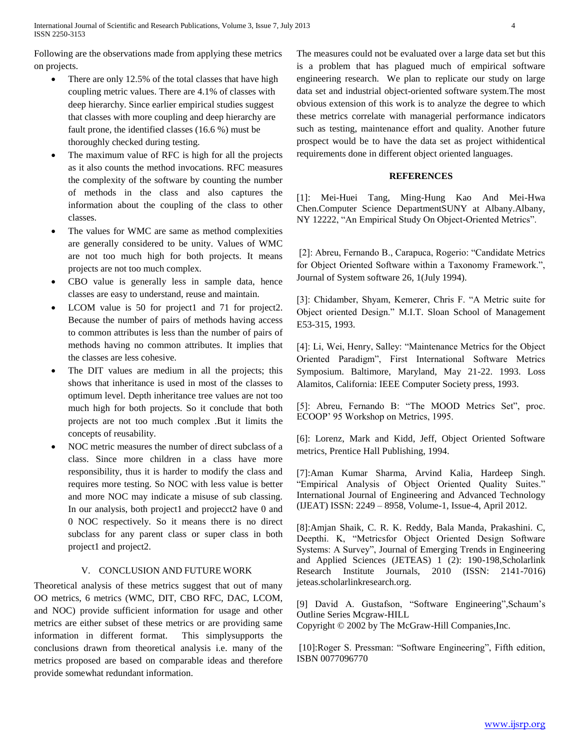Following are the observations made from applying these metrics on projects.

- There are only 12.5% of the total classes that have high coupling metric values. There are 4.1% of classes with deep hierarchy. Since earlier empirical studies suggest that classes with more coupling and deep hierarchy are fault prone, the identified classes (16.6 %) must be thoroughly checked during testing.
- The maximum value of RFC is high for all the projects as it also counts the method invocations. RFC measures the complexity of the software by counting the number of methods in the class and also captures the information about the coupling of the class to other classes.
- The values for WMC are same as method complexities are generally considered to be unity. Values of WMC are not too much high for both projects. It means projects are not too much complex.
- CBO value is generally less in sample data, hence classes are easy to understand, reuse and maintain.
- LCOM value is 50 for project1 and 71 for project2. Because the number of pairs of methods having access to common attributes is less than the number of pairs of methods having no common attributes. It implies that the classes are less cohesive.
- The DIT values are medium in all the projects; this shows that inheritance is used in most of the classes to optimum level. Depth inheritance tree values are not too much high for both projects. So it conclude that both projects are not too much complex .But it limits the concepts of reusability.
- NOC metric measures the number of direct subclass of a class. Since more children in a class have more responsibility, thus it is harder to modify the class and requires more testing. So NOC with less value is better and more NOC may indicate a misuse of sub classing. In our analysis, both project1 and projecct2 have 0 and 0 NOC respectively. So it means there is no direct subclass for any parent class or super class in both project1 and project2.

## V. CONCLUSION AND FUTURE WORK

Theoretical analysis of these metrics suggest that out of many OO metrics, 6 metrics (WMC, DIT, CBO RFC, DAC, LCOM, and NOC) provide sufficient information for usage and other metrics are either subset of these metrics or are providing same information in different format. This simplysupports the conclusions drawn from theoretical analysis i.e. many of the metrics proposed are based on comparable ideas and therefore provide somewhat redundant information.

The measures could not be evaluated over a large data set but this is a problem that has plagued much of empirical software engineering research. We plan to replicate our study on large data set and industrial object-oriented software system.The most obvious extension of this work is to analyze the degree to which these metrics correlate with managerial performance indicators such as testing, maintenance effort and quality. Another future prospect would be to have the data set as project withidentical requirements done in different object oriented languages.

## **REFERENCES**

[1]: Mei-Huei Tang, Ming-Hung Kao And Mei-Hwa Chen.Computer Science DepartmentSUNY at Albany.Albany, NY 12222, "An Empirical Study On Object-Oriented Metrics".

[2]: Abreu, Fernando B., Carapuca, Rogerio: "Candidate Metrics for Object Oriented Software within a Taxonomy Framework.", Journal of System software 26, 1(July 1994).

[3]: Chidamber, Shyam, Kemerer, Chris F. "A Metric suite for Object oriented Design." M.I.T. Sloan School of Management E53-315, 1993.

[4]: Li, Wei, Henry, Salley: "Maintenance Metrics for the Object Oriented Paradigm", First International Software Metrics Symposium. Baltimore, Maryland, May 21-22. 1993. Loss Alamitos, California: IEEE Computer Society press, 1993.

[5]: Abreu, Fernando B: "The MOOD Metrics Set", proc. ECOOP' 95 Workshop on Metrics, 1995.

[6]: Lorenz, Mark and Kidd, Jeff, Object Oriented Software metrics, Prentice Hall Publishing, 1994.

[7]:Aman Kumar Sharma, Arvind Kalia, Hardeep Singh. "Empirical Analysis of Object Oriented Quality Suites." International Journal of Engineering and Advanced Technology (IJEAT) ISSN: 2249 – 8958, Volume-1, Issue-4, April 2012.

[8]:Amjan Shaik, C. R. K. Reddy, Bala Manda, Prakashini. C, Deepthi. K, "Metricsfor Object Oriented Design Software Systems: A Survey", Journal of Emerging Trends in Engineering and Applied Sciences (JETEAS) 1 (2): 190-198,Scholarlink Research Institute Journals, 2010 (ISSN: 2141-7016) jeteas.scholarlinkresearch.org.

[9] David A. Gustafson, "Software Engineering",Schaum's Outline Series Mcgraw-HILL

Copyright © 2002 by The McGraw-Hill Companies,Inc.

[10]:Roger S. Pressman: "Software Engineering", Fifth edition, ISBN 0077096770